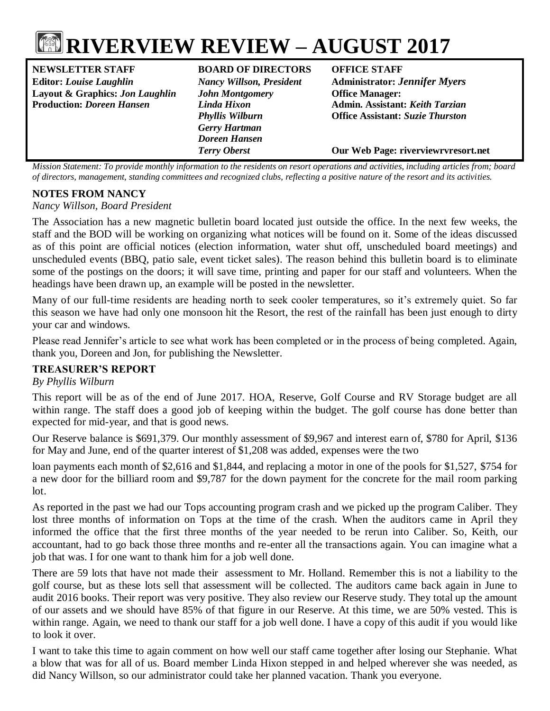

**NEWSLETTER STAFF BOARD OF DIRECTORS OFFICE STAFF Editor:** *Louise Laughlin Nancy Willson, President* **Administrator:** *Jennifer Myers* **Layout & Graphics:** *Jon Laughlin John Montgomery* **Office Manager: Production:** *Doreen Hansen Linda Hixon* **Admin. Assistant:** *Keith Tarzian*

*Gerry Hartman Doreen Hansen*

*Phyllis Wilburn* **Office Assistant:** *Suzie Thurston*

*Terry Oberst* **Our Web Page: riverviewrvresort.net**

*Mission Statement: To provide monthly information to the residents on resort operations and activities, including articles from; board of directors, management, standing committees and recognized clubs, reflecting a positive nature of the resort and its activities.*

#### **NOTES FROM NANCY**

*Nancy Willson, Board President*

The Association has a new magnetic bulletin board located just outside the office. In the next few weeks, the staff and the BOD will be working on organizing what notices will be found on it. Some of the ideas discussed as of this point are official notices (election information, water shut off, unscheduled board meetings) and unscheduled events (BBQ, patio sale, event ticket sales). The reason behind this bulletin board is to eliminate some of the postings on the doors; it will save time, printing and paper for our staff and volunteers. When the headings have been drawn up, an example will be posted in the newsletter.

Many of our full-time residents are heading north to seek cooler temperatures, so it's extremely quiet. So far this season we have had only one monsoon hit the Resort, the rest of the rainfall has been just enough to dirty your car and windows.

Please read Jennifer's article to see what work has been completed or in the process of being completed. Again, thank you, Doreen and Jon, for publishing the Newsletter.

# **TREASURER'S REPORT**

#### *By Phyllis Wilburn*

This report will be as of the end of June 2017. HOA, Reserve, Golf Course and RV Storage budget are all within range. The staff does a good job of keeping within the budget. The golf course has done better than expected for mid-year, and that is good news.

Our Reserve balance is \$691,379. Our monthly assessment of \$9,967 and interest earn of, \$780 for April, \$136 for May and June, end of the quarter interest of \$1,208 was added, expenses were the two

loan payments each month of \$2,616 and \$1,844, and replacing a motor in one of the pools for \$1,527, \$754 for a new door for the billiard room and \$9,787 for the down payment for the concrete for the mail room parking lot.

As reported in the past we had our Tops accounting program crash and we picked up the program Caliber. They lost three months of information on Tops at the time of the crash. When the auditors came in April they informed the office that the first three months of the year needed to be rerun into Caliber. So, Keith, our accountant, had to go back those three months and re-enter all the transactions again. You can imagine what a job that was. I for one want to thank him for a job well done.

There are 59 lots that have not made their assessment to Mr. Holland. Remember this is not a liability to the golf course, but as these lots sell that assessment will be collected. The auditors came back again in June to audit 2016 books. Their report was very positive. They also review our Reserve study. They total up the amount of our assets and we should have 85% of that figure in our Reserve. At this time, we are 50% vested. This is within range. Again, we need to thank our staff for a job well done. I have a copy of this audit if you would like to look it over.

I want to take this time to again comment on how well our staff came together after losing our Stephanie. What a blow that was for all of us. Board member Linda Hixon stepped in and helped wherever she was needed, as did Nancy Willson, so our administrator could take her planned vacation. Thank you everyone.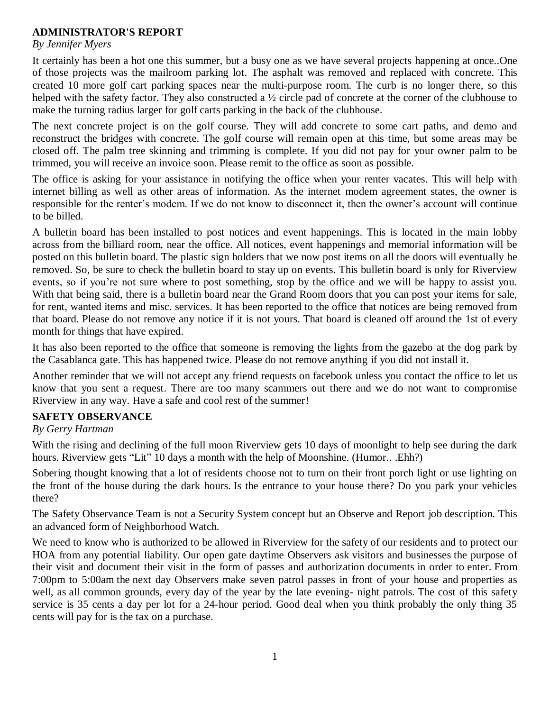# **ADMINISTRATOR'S REPORT**

#### *By Jennifer Myers*

It certainly has been a hot one this summer, but a busy one as we have several projects happening at once..One of those projects was the mailroom parking lot. The asphalt was removed and replaced with concrete. This created 10 more golf cart parking spaces near the multi-purpose room. The curb is no longer there, so this helped with the safety factor. They also constructed a  $\frac{1}{2}$  circle pad of concrete at the corner of the clubhouse to make the turning radius larger for golf carts parking in the back of the clubhouse.

The next concrete project is on the golf course. They will add concrete to some cart paths, and demo and reconstruct the bridges with concrete. The golf course will remain open at this time, but some areas may be closed off. The palm tree skinning and trimming is complete. If you did not pay for your owner palm to be trimmed, you will receive an invoice soon. Please remit to the office as soon as possible.

The office is asking for your assistance in notifying the office when your renter vacates. This will help with internet billing as well as other areas of information. As the internet modem agreement states, the owner is responsible for the renter's modem. If we do not know to disconnect it, then the owner's account will continue to be billed.

A bulletin board has been installed to post notices and event happenings. This is located in the main lobby across from the billiard room, near the office. All notices, event happenings and memorial information will be posted on this bulletin board. The plastic sign holders that we now post items on all the doors will eventually be removed. So, be sure to check the bulletin board to stay up on events. This bulletin board is only for Riverview events, so if you're not sure where to post something, stop by the office and we will be happy to assist you. With that being said, there is a bulletin board near the Grand Room doors that you can post your items for sale, for rent, wanted items and misc. services. It has been reported to the office that notices are being removed from that board. Please do not remove any notice if it is not yours. That board is cleaned off around the 1st of every month for things that have expired.

It has also been reported to the office that someone is removing the lights from the gazebo at the dog park by the Casablanca gate. This has happened twice. Please do not remove anything if you did not install it.

Another reminder that we will not accept any friend requests on facebook unless you contact the office to let us know that you sent a request. There are too many scammers out there and we do not want to compromise Riverview in any way. Have a safe and cool rest of the summer!

# **SAFETY OBSERVANCE**

# *By Gerry Hartman*

With the rising and declining of the full moon Riverview gets 10 days of moonlight to help see during the dark hours. Riverview gets "Lit" 10 days a month with the help of Moonshine. (Humor... .Ehh?)

Sobering thought knowing that a lot of residents choose not to turn on their front porch light or use lighting on the front of the house during the dark hours. Is the entrance to your house there? Do you park your vehicles there?

The Safety Observance Team is not a Security System concept but an Observe and Report job description. This an advanced form of Neighborhood Watch.

We need to know who is authorized to be allowed in Riverview for the safety of our residents and to protect our HOA from any potential liability. Our open gate daytime Observers ask visitors and businesses the purpose of their visit and document their visit in the form of passes and authorization documents in order to enter. From 7:00pm to 5:00am the next day Observers make seven patrol passes in front of your house and properties as well, as all common grounds, every day of the year by the late evening- night patrols. The cost of this safety service is 35 cents a day per lot for a 24-hour period. Good deal when you think probably the only thing 35 cents will pay for is the tax on a purchase.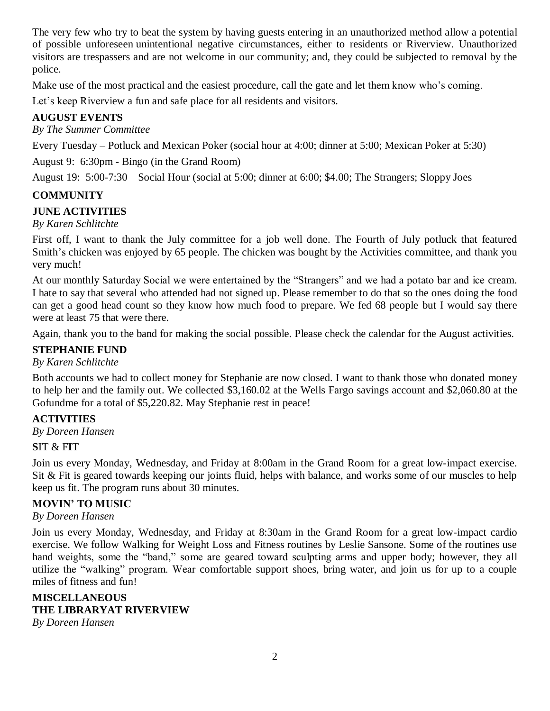The very few who try to beat the system by having guests entering in an unauthorized method allow a potential of possible unforeseen unintentional negative circumstances, either to residents or Riverview. Unauthorized visitors are trespassers and are not welcome in our community; and, they could be subjected to removal by the police.

Make use of the most practical and the easiest procedure, call the gate and let them know who's coming.

Let's keep Riverview a fun and safe place for all residents and visitors.

# **AUGUST EVENTS**

*By The Summer Committee*

Every Tuesday – Potluck and Mexican Poker (social hour at 4:00; dinner at 5:00; Mexican Poker at 5:30)

August 9: 6:30pm - Bingo (in the Grand Room)

August 19: 5:00-7:30 – Social Hour (social at 5:00; dinner at 6:00; \$4.00; The Strangers; Sloppy Joes

# **COMMUNITY**

# **JUNE ACTIVITIES**

# *By Karen Schlitchte*

First off, I want to thank the July committee for a job well done. The Fourth of July potluck that featured Smith's chicken was enjoyed by 65 people. The chicken was bought by the Activities committee, and thank you very much!

At our monthly Saturday Social we were entertained by the "Strangers" and we had a potato bar and ice cream. I hate to say that several who attended had not signed up. Please remember to do that so the ones doing the food can get a good head count so they know how much food to prepare. We fed 68 people but I would say there were at least 75 that were there.

Again, thank you to the band for making the social possible. Please check the calendar for the August activities.

# **STEPHANIE FUND**

# *By Karen Schlitchte*

Both accounts we had to collect money for Stephanie are now closed. I want to thank those who donated money to help her and the family out. We collected \$3,160.02 at the Wells Fargo savings account and \$2,060.80 at the Gofundme for a total of \$5,220.82. May Stephanie rest in peace!

# **ACTIVITIES**

*By Doreen Hansen*

# **S**IT & F**I**T

Join us every Monday, Wednesday, and Friday at 8:00am in the Grand Room for a great low-impact exercise. Sit & Fit is geared towards keeping our joints fluid, helps with balance, and works some of our muscles to help keep us fit. The program runs about 30 minutes.

# **MOVIN' TO MUSIC**

# *By Doreen Hansen*

Join us every Monday, Wednesday, and Friday at 8:30am in the Grand Room for a great low-impact cardio exercise. We follow Walking for Weight Loss and Fitness routines by Leslie Sansone. Some of the routines use hand weights, some the "band," some are geared toward sculpting arms and upper body; however, they all utilize the "walking" program. Wear comfortable support shoes, bring water, and join us for up to a couple miles of fitness and fun!

# **MISCELLANEOUS THE LIBRARYAT RIVERVIEW**

*By Doreen Hansen*